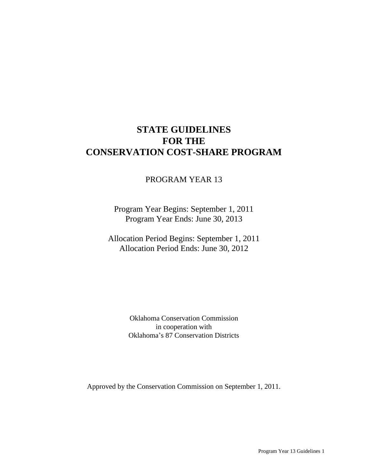# **STATE GUIDELINES FOR THE CONSERVATION COST-SHARE PROGRAM**

# PROGRAM YEAR 13

Program Year Begins: September 1, 2011 Program Year Ends: June 30, 2013

Allocation Period Begins: September 1, 2011 Allocation Period Ends: June 30, 2012

> Oklahoma Conservation Commission in cooperation with Oklahoma's 87 Conservation Districts

Approved by the Conservation Commission on September 1, 2011.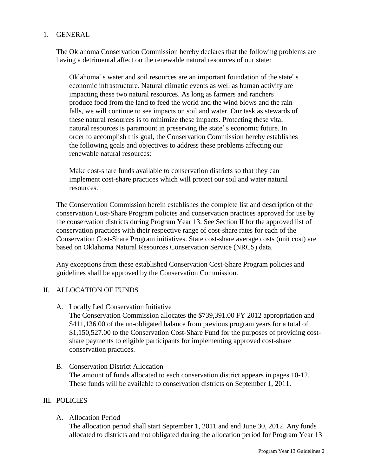# 1. GENERAL

The Oklahoma Conservation Commission hereby declares that the following problems are having a detrimental affect on the renewable natural resources of our state:

Oklahoma' s water and soil resources are an important foundation of the state' s economic infrastructure. Natural climatic events as well as human activity are impacting these two natural resources. As long as farmers and ranchers produce food from the land to feed the world and the wind blows and the rain falls, we will continue to see impacts on soil and water. Our task as stewards of these natural resources is to minimize these impacts. Protecting these vital natural resources is paramount in preserving the state' s economic future. In order to accomplish this goal, the Conservation Commission hereby establishes the following goals and objectives to address these problems affecting our renewable natural resources:

Make cost-share funds available to conservation districts so that they can implement cost-share practices which will protect our soil and water natural resources.

The Conservation Commission herein establishes the complete list and description of the conservation Cost-Share Program policies and conservation practices approved for use by the conservation districts during Program Year 13. See Section II for the approved list of conservation practices with their respective range of cost-share rates for each of the Conservation Cost-Share Program initiatives. State cost-share average costs (unit cost) are based on Oklahoma Natural Resources Conservation Service (NRCS) data.

Any exceptions from these established Conservation Cost-Share Program policies and guidelines shall be approved by the Conservation Commission.

# II. ALLOCATION OF FUNDS

A. Locally Led Conservation Initiative

The Conservation Commission allocates the \$739,391.00 FY 2012 appropriation and \$411,136.00 of the un-obligated balance from previous program years for a total of \$1,150,527.00 to the Conservation Cost-Share Fund for the purposes of providing costshare payments to eligible participants for implementing approved cost-share conservation practices.

#### B. Conservation District Allocation

The amount of funds allocated to each conservation district appears in pages 10-12. These funds will be available to conservation districts on September 1, 2011.

# III. POLICIES

#### A. Allocation Period

The allocation period shall start September 1, 2011 and end June 30, 2012. Any funds allocated to districts and not obligated during the allocation period for Program Year 13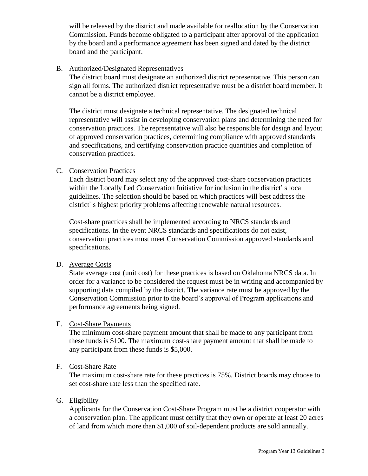will be released by the district and made available for reallocation by the Conservation Commission. Funds become obligated to a participant after approval of the application by the board and a performance agreement has been signed and dated by the district board and the participant.

# B. Authorized/Designated Representatives

The district board must designate an authorized district representative. This person can sign all forms. The authorized district representative must be a district board member. It cannot be a district employee.

The district must designate a technical representative. The designated technical representative will assist in developing conservation plans and determining the need for conservation practices. The representative will also be responsible for design and layout of approved conservation practices, determining compliance with approved standards and specifications, and certifying conservation practice quantities and completion of conservation practices.

### C. Conservation Practices

Each district board may select any of the approved cost-share conservation practices within the Locally Led Conservation Initiative for inclusion in the district' s local guidelines. The selection should be based on which practices will best address the district' s highest priority problems affecting renewable natural resources.

Cost-share practices shall be implemented according to NRCS standards and specifications. In the event NRCS standards and specifications do not exist, conservation practices must meet Conservation Commission approved standards and specifications.

#### D. Average Costs

State average cost (unit cost) for these practices is based on Oklahoma NRCS data. In order for a variance to be considered the request must be in writing and accompanied by supporting data compiled by the district. The variance rate must be approved by the Conservation Commission prior to the board's approval of Program applications and performance agreements being signed.

#### E. Cost-Share Payments

The minimum cost-share payment amount that shall be made to any participant from these funds is \$100. The maximum cost-share payment amount that shall be made to any participant from these funds is \$5,000.

# F. Cost-Share Rate

The maximum cost-share rate for these practices is 75%. District boards may choose to set cost-share rate less than the specified rate.

# G. Eligibility

Applicants for the Conservation Cost-Share Program must be a district cooperator with a conservation plan. The applicant must certify that they own or operate at least 20 acres of land from which more than \$1,000 of soil-dependent products are sold annually.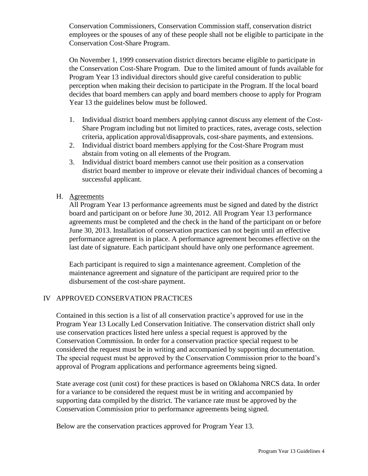Conservation Commissioners, Conservation Commission staff, conservation district employees or the spouses of any of these people shall not be eligible to participate in the Conservation Cost-Share Program.

On November 1, 1999 conservation district directors became eligible to participate in the Conservation Cost-Share Program. Due to the limited amount of funds available for Program Year 13 individual directors should give careful consideration to public perception when making their decision to participate in the Program. If the local board decides that board members can apply and board members choose to apply for Program Year 13 the guidelines below must be followed.

- 1. Individual district board members applying cannot discuss any element of the Cost-Share Program including but not limited to practices, rates, average costs, selection criteria, application approval/disapprovals, cost-share payments, and extensions.
- 2. Individual district board members applying for the Cost-Share Program must abstain from voting on all elements of the Program.
- 3. Individual district board members cannot use their position as a conservation district board member to improve or elevate their individual chances of becoming a successful applicant.
- H. Agreements

All Program Year 13 performance agreements must be signed and dated by the district board and participant on or before June 30, 2012. All Program Year 13 performance agreements must be completed and the check in the hand of the participant on or before June 30, 2013. Installation of conservation practices can not begin until an effective performance agreement is in place. A performance agreement becomes effective on the last date of signature. Each participant should have only one performance agreement.

Each participant is required to sign a maintenance agreement. Completion of the maintenance agreement and signature of the participant are required prior to the disbursement of the cost-share payment.

# IV APPROVED CONSERVATION PRACTICES

Contained in this section is a list of all conservation practice's approved for use in the Program Year 13 Locally Led Conservation Initiative. The conservation district shall only use conservation practices listed here unless a special request is approved by the Conservation Commission. In order for a conservation practice special request to be considered the request must be in writing and accompanied by supporting documentation. The special request must be approved by the Conservation Commission prior to the board's approval of Program applications and performance agreements being signed.

State average cost (unit cost) for these practices is based on Oklahoma NRCS data. In order for a variance to be considered the request must be in writing and accompanied by supporting data compiled by the district. The variance rate must be approved by the Conservation Commission prior to performance agreements being signed.

Below are the conservation practices approved for Program Year 13.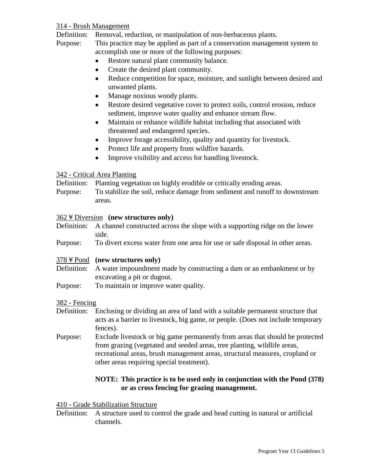# 314 - Brush Management

Definition: Removal, reduction, or manipulation of non-herbaceous plants.

Purpose: This practice may be applied as part of a conservation management system to accomplish one or more of the following purposes:

- $\bullet$ Restore natural plant community balance.
- Create the desired plant community.  $\bullet$
- $\bullet$ Reduce competition for space, moisture, and sunlight between desired and unwanted plants.
- Manage noxious woody plants.
- Restore desired vegetative cover to protect soils, control erosion, reduce  $\bullet$ sediment, improve water quality and enhance stream flow.
- Maintain or enhance wildlife habitat including that associated with  $\bullet$ threatened and endangered species.
- Improve forage accessibility, quality and quantity for livestock.  $\bullet$
- Protect life and property from wildfire hazards.  $\bullet$
- Improve visibility and access for handling livestock.  $\bullet$

#### 342 - Critical Area Planting

Definition: Planting vegetation on highly erodible or critically eroding areas.

Purpose: To stabilize the soil, reduce damage from sediment and runoff to downstream areas.

### 362 ¥ Diversion (new structures only)

Definition: A channel constructed across the slope with a supporting ridge on the lower side.

Purpose: To divert excess water from one area for use or safe disposal in other areas.

#### 378  $\angle$  Pond (new structures only)

- Definition: A water impoundment made by constructing a dam or an embankment or by excavating a pit or dugout.
- Purpose: To maintain or improve water quality.

#### 382 - Fencing

- Definition: Enclosing or dividing an area of land with a suitable permanent structure that acts as a barrier to livestock, big game, or people. (Does not include temporary fences).
- Purpose: Exclude livestock or big game permanently from areas that should be protected from grazing (vegetated and seeded areas, tree planting, wildlife areas, recreational areas, brush management areas, structural measures, cropland or other areas requiring special treatment).

# **NOTE: This practice is to be used only in conjunction with the Pond (378) or as cross fencing for grazing management.**

#### 410 - Grade Stabilization Structure

Definition: A structure used to control the grade and head cutting in natural or artificial channels.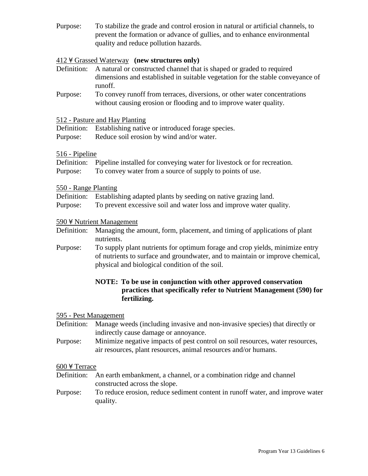Purpose: To stabilize the grade and control erosion in natural or artificial channels, to prevent the formation or advance of gullies, and to enhance environmental quality and reduce pollution hazards.

# 412  $\angle$  Grassed Waterway (new structures only)

- Definition: A natural or constructed channel that is shaped or graded to required dimensions and established in suitable vegetation for the stable conveyance of runoff.
- Purpose: To convey runoff from terraces, diversions, or other water concentrations without causing erosion or flooding and to improve water quality.

#### 512 - Pasture and Hay Planting

|  |  |  |  | Definition: Establishing native or introduced forage species. |
|--|--|--|--|---------------------------------------------------------------|
|--|--|--|--|---------------------------------------------------------------|

Purpose: Reduce soil erosion by wind and/or water.

#### 516 - Pipeline

|          | Definition: Pipeline installed for conveying water for livestock or for recreation. |
|----------|-------------------------------------------------------------------------------------|
| Purpose: | To convey water from a source of supply to points of use.                           |

#### 550 - Range Planting

- Definition: Establishing adapted plants by seeding on native grazing land.
- Purpose: To prevent excessive soil and water loss and improve water quality.

#### 590 ¥ Nutrient Management

- Definition: Managing the amount, form, placement, and timing of applications of plant nutrients.
- Purpose: To supply plant nutrients for optimum forage and crop yields, minimize entry of nutrients to surface and groundwater, and to maintain or improve chemical, physical and biological condition of the soil.

# **NOTE: To be use in conjunction with other approved conservation practices that specifically refer to Nutrient Management (590) for fertilizing.**

#### 595 - Pest Management

Definition: Manage weeds (including invasive and non-invasive species) that directly or indirectly cause damage or annoyance.

Purpose: Minimize negative impacts of pest control on soil resources, water resources, air resources, plant resources, animal resources and/or humans.

#### $600$  ¥ Terrace

- Definition: An earth embankment, a channel, or a combination ridge and channel constructed across the slope.
- Purpose: To reduce erosion, reduce sediment content in runoff water, and improve water quality.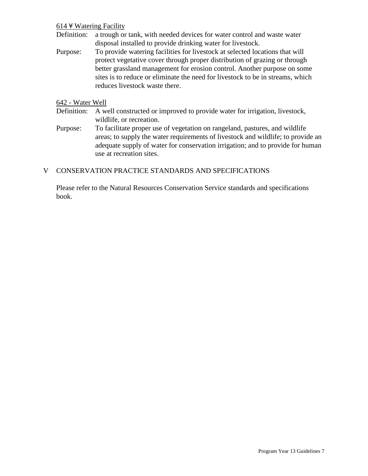# $614$   $\overline{4}$  Watering Facility

- Definition: a trough or tank, with needed devices for water control and waste water disposal installed to provide drinking water for livestock.
- Purpose: To provide watering facilities for livestock at selected locations that will protect vegetative cover through proper distribution of grazing or through better grassland management for erosion control. Another purpose on some sites is to reduce or eliminate the need for livestock to be in streams, which reduces livestock waste there.

#### 642 - Water Well

- Definition: A well constructed or improved to provide water for irrigation, livestock, wildlife, or recreation.
- Purpose: To facilitate proper use of vegetation on rangeland, pastures, and wildlife areas; to supply the water requirements of livestock and wildlife; to provide an adequate supply of water for conservation irrigation; and to provide for human use at recreation sites.

### V CONSERVATION PRACTICE STANDARDS AND SPECIFICATIONS

Please refer to the Natural Resources Conservation Service standards and specifications book.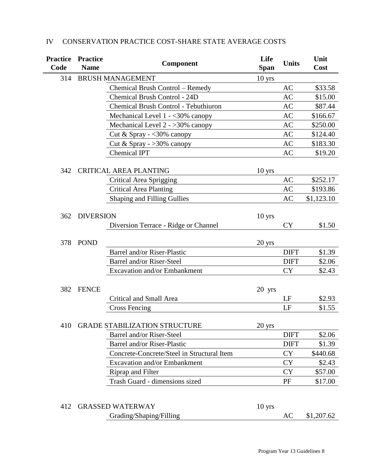| <b>Practice</b><br>Code | <b>Practice</b><br><b>Name</b> | Life<br>Component<br><b>Span</b>                    |                  | <b>Units</b> | Unit<br>Cost |
|-------------------------|--------------------------------|-----------------------------------------------------|------------------|--------------|--------------|
| 314                     | <b>BRUSH MANAGEMENT</b>        |                                                     |                  |              |              |
|                         |                                | Chemical Brush Control - Remedy                     |                  | AC           | \$33.58      |
|                         |                                | <b>Chemical Brush Control - 24D</b>                 |                  | <b>AC</b>    | \$15.00      |
|                         |                                | Chemical Brush Control - Tebuthiuron                |                  | AC           | \$87.44      |
|                         |                                | Mechanical Level $1 - 30\%$ canopy                  |                  | AC           | \$166.67     |
|                         |                                | Mechanical Level $2 - 30\%$ canopy                  |                  | <b>AC</b>    | \$250.00     |
|                         |                                | Cut & Spray - $\langle 30\% \text{ canopy} \rangle$ |                  | <b>AC</b>    | \$124.40     |
|                         |                                | Cut & Spray - $>30\%$ canopy                        |                  | <b>AC</b>    | \$183.30     |
|                         |                                | <b>Chemical IPT</b>                                 |                  | AC           | \$19.20      |
| 342                     |                                | <b>CRITICAL AREA PLANTING</b>                       | $10 \text{ yrs}$ |              |              |
|                         |                                | Critical Area Sprigging                             |                  | AC           | \$252.17     |
|                         |                                | <b>Critical Area Planting</b>                       |                  | AC           | \$193.86     |
|                         |                                | <b>Shaping and Filling Gullies</b>                  |                  | <b>AC</b>    | \$1,123.10   |
| 362                     | <b>DIVERSION</b>               |                                                     | $10$ yrs         |              |              |
|                         |                                | Diversion Terrace - Ridge or Channel                |                  | CY           | \$1.50       |
|                         |                                |                                                     |                  |              |              |
| 378                     | <b>POND</b>                    |                                                     | $20$ yrs         |              |              |
|                         |                                | <b>Barrel and/or Riser-Plastic</b>                  |                  | <b>DIFT</b>  | \$1.39       |
|                         |                                | Barrel and/or Riser-Steel                           |                  | <b>DIFT</b>  | \$2.06       |
|                         |                                | Excavation and/or Embankment                        |                  | <b>CY</b>    | \$2.43       |
| 382                     | <b>FENCE</b>                   |                                                     | 20 yrs           |              |              |
|                         |                                | <b>Critical and Small Area</b>                      |                  | LF           | \$2.93       |
|                         |                                | <b>Cross Fencing</b>                                |                  | LF           | \$1.55       |
|                         |                                | 410 GRADE STABILIZATION STRUCTURE                   | 20 yrs           |              |              |
|                         |                                | Barrel and/or Riser-Steel                           |                  | <b>DIFT</b>  | \$2.06       |
|                         |                                | <b>Barrel and/or Riser-Plastic</b>                  |                  | <b>DIFT</b>  | \$1.39       |
|                         |                                | Concrete-Concrete/Steel in Structural Item          |                  | <b>CY</b>    | \$440.68     |
|                         |                                | Excavation and/or Embankment                        |                  | <b>CY</b>    | \$2.43       |
|                         |                                | Riprap and Filter                                   |                  | <b>CY</b>    | \$57.00      |
|                         |                                | Trash Guard - dimensions sized                      |                  | PF           | \$17.00      |
| 412                     |                                | <b>GRASSED WATERWAY</b>                             | $10$ yrs         |              |              |
|                         |                                | Grading/Shaping/Filling                             |                  | AC           | \$1,207.62   |

# IV CONSERVATION PRACTICE COST-SHARE STATE AVERAGE COSTS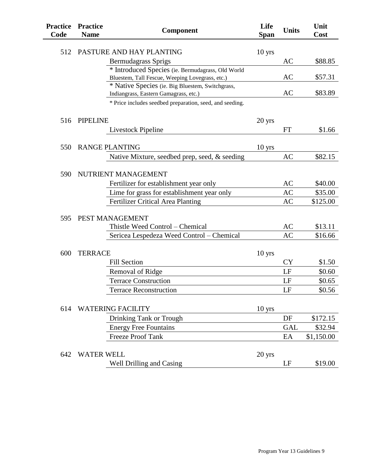| <b>Practice</b><br>Code | <b>Practice</b><br><b>Name</b> | <b>Component</b>                                                                          | Life<br><b>Span</b> | <b>Units</b> | Unit<br>Cost |
|-------------------------|--------------------------------|-------------------------------------------------------------------------------------------|---------------------|--------------|--------------|
| 512                     |                                | PASTURE AND HAY PLANTING                                                                  | $10$ yrs            |              |              |
|                         |                                | <b>Bermudagrass Sprigs</b>                                                                |                     | AC           | \$88.85      |
|                         |                                | * Introduced Species (ie. Bermudagrass, Old World                                         |                     |              |              |
|                         |                                | Bluestem, Tall Fescue, Weeping Lovegrass, etc.)                                           |                     | AC           | \$57.31      |
|                         |                                | * Native Species (ie. Big Bluestem, Switchgrass,<br>Indiangrass, Eastern Gamagrass, etc.) |                     | AC           | \$83.89      |
|                         |                                | * Price includes seedbed preparation, seed, and seeding.                                  |                     |              |              |
| 516                     | <b>PIPELINE</b>                |                                                                                           | $20 \text{ yrs}$    |              |              |
|                         |                                | Livestock Pipeline                                                                        |                     | <b>FT</b>    | \$1.66       |
| 550                     |                                | <b>RANGE PLANTING</b>                                                                     |                     |              |              |
|                         |                                | Native Mixture, seedbed prep, seed, & seeding                                             | $10 \text{ yrs}$    | <b>AC</b>    | \$82.15      |
|                         |                                |                                                                                           |                     |              |              |
| 590                     |                                | NUTRIENT MANAGEMENT                                                                       |                     |              |              |
|                         |                                | Fertilizer for establishment year only                                                    |                     | AC           | \$40.00      |
|                         |                                | Lime for grass for establishment year only                                                |                     | <b>AC</b>    | \$35.00      |
|                         |                                | <b>Fertilizer Critical Area Planting</b>                                                  |                     | <b>AC</b>    | \$125.00     |
| 595                     |                                | PEST MANAGEMENT                                                                           |                     |              |              |
|                         |                                | Thistle Weed Control – Chemical                                                           |                     | AC           | \$13.11      |
|                         |                                | Sericea Lespedeza Weed Control - Chemical                                                 |                     | <b>AC</b>    | \$16.66      |
|                         |                                |                                                                                           |                     |              |              |
| 600                     | <b>TERRACE</b>                 |                                                                                           | $10$ yrs            |              |              |
|                         |                                | <b>Fill Section</b>                                                                       |                     | CY           | \$1.50       |
|                         |                                | <b>Removal of Ridge</b>                                                                   |                     | LF           | \$0.60       |
|                         |                                | <b>Terrace Construction</b>                                                               |                     | LF           | \$0.65       |
|                         |                                | <b>Terrace Reconstruction</b>                                                             |                     | LF           | \$0.56       |
|                         |                                |                                                                                           |                     |              |              |
| 614                     |                                | <b>WATERING FACILITY</b>                                                                  | 10 <sub>yrs</sub>   |              |              |
|                         |                                | Drinking Tank or Trough                                                                   |                     | DF           | \$172.15     |
|                         |                                | <b>Energy Free Fountains</b>                                                              |                     | <b>GAL</b>   | \$32.94      |
|                         |                                | <b>Freeze Proof Tank</b>                                                                  |                     | EA           | \$1,150.00   |
| 642                     | <b>WATER WELL</b>              |                                                                                           | 20 yrs              |              |              |
|                         |                                | Well Drilling and Casing                                                                  |                     | LF           | \$19.00      |

 $\overline{a}$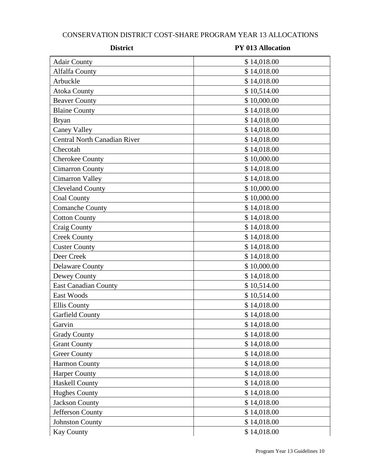# CONSERVATION DISTRICT COST-SHARE PROGRAM YEAR 13 ALLOCATIONS

| <b>District</b>                     | <b>PY 013 Allocation</b> |  |  |
|-------------------------------------|--------------------------|--|--|
| <b>Adair County</b>                 | \$14,018.00              |  |  |
| <b>Alfalfa County</b>               | \$14,018.00              |  |  |
| Arbuckle                            | \$14,018.00              |  |  |
| <b>Atoka County</b>                 | \$10,514.00              |  |  |
| <b>Beaver County</b>                | \$10,000.00              |  |  |
| <b>Blaine County</b>                | \$14,018.00              |  |  |
| <b>Bryan</b>                        | \$14,018.00              |  |  |
| <b>Caney Valley</b>                 | \$14,018.00              |  |  |
| <b>Central North Canadian River</b> | \$14,018.00              |  |  |
| Checotah                            | \$14,018.00              |  |  |
| <b>Cherokee County</b>              | \$10,000.00              |  |  |
| <b>Cimarron County</b>              | \$14,018.00              |  |  |
| <b>Cimarron Valley</b>              | \$14,018.00              |  |  |
| <b>Cleveland County</b>             | \$10,000.00              |  |  |
| <b>Coal County</b>                  | \$10,000.00              |  |  |
| <b>Comanche County</b>              | \$14,018.00              |  |  |
| <b>Cotton County</b>                | \$14,018.00              |  |  |
| Craig County                        | \$14,018.00              |  |  |
| <b>Creek County</b>                 | \$14,018.00              |  |  |
| <b>Custer County</b>                | \$14,018.00              |  |  |
| Deer Creek                          | \$14,018.00              |  |  |
| <b>Delaware County</b>              | \$10,000.00              |  |  |
| Dewey County                        | \$14,018.00              |  |  |
| <b>East Canadian County</b>         | \$10,514.00              |  |  |
| East Woods                          | \$10,514.00              |  |  |
| <b>Ellis County</b>                 | \$14,018.00              |  |  |
| Garfield County                     | \$14,018.00              |  |  |
| Garvin                              | \$14,018.00              |  |  |
| <b>Grady County</b>                 | \$14,018.00              |  |  |
| <b>Grant County</b>                 | \$14,018.00              |  |  |
| <b>Greer County</b>                 | \$14,018.00              |  |  |
| <b>Harmon County</b>                | \$14,018.00              |  |  |
| <b>Harper County</b>                | \$14,018.00              |  |  |
| <b>Haskell County</b>               | \$14,018.00              |  |  |
| <b>Hughes County</b>                | \$14,018.00              |  |  |
| <b>Jackson County</b>               | \$14,018.00              |  |  |
| Jefferson County                    | \$14,018.00              |  |  |
| <b>Johnston County</b>              | \$14,018.00              |  |  |
| <b>Kay County</b>                   | \$14,018.00              |  |  |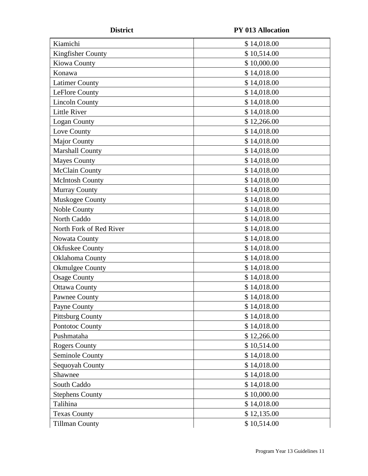**District PY 013 Allocation**

| Kiamichi                       | \$14,018.00 |  |  |
|--------------------------------|-------------|--|--|
| Kingfisher County              | \$10,514.00 |  |  |
| Kiowa County                   | \$10,000.00 |  |  |
| Konawa                         | \$14,018.00 |  |  |
| <b>Latimer County</b>          | \$14,018.00 |  |  |
| LeFlore County                 | \$14,018.00 |  |  |
| <b>Lincoln County</b>          | \$14,018.00 |  |  |
| <b>Little River</b>            | \$14,018.00 |  |  |
| Logan County                   | \$12,266.00 |  |  |
| Love County                    | \$14,018.00 |  |  |
| <b>Major County</b>            | \$14,018.00 |  |  |
| <b>Marshall County</b>         | \$14,018.00 |  |  |
| <b>Mayes County</b>            | \$14,018.00 |  |  |
| <b>McClain County</b>          | \$14,018.00 |  |  |
| <b>McIntosh County</b>         | \$14,018.00 |  |  |
| <b>Murray County</b>           | \$14,018.00 |  |  |
| Muskogee County                | \$14,018.00 |  |  |
| Noble County                   | \$14,018.00 |  |  |
| North Caddo                    | \$14,018.00 |  |  |
| North Fork of Red River        | \$14,018.00 |  |  |
| Nowata County                  | \$14,018.00 |  |  |
| <b>Okfuskee County</b>         | \$14,018.00 |  |  |
| Oklahoma County                | \$14,018.00 |  |  |
| <b>Okmulgee County</b>         | \$14,018.00 |  |  |
| <b>Osage County</b>            | \$14,018.00 |  |  |
| <b>Ottawa County</b>           | \$14,018.00 |  |  |
| <b>Pawnee County</b>           | \$14,018.00 |  |  |
| Payne County                   | \$14,018.00 |  |  |
| <b>Pittsburg County</b>        | \$14,018.00 |  |  |
| Pontotoc County                | \$14,018.00 |  |  |
| Pushmataha                     | \$12,266.00 |  |  |
| <b>Rogers County</b>           | \$10,514.00 |  |  |
| Seminole County<br>\$14,018.00 |             |  |  |
| Sequoyah County                | \$14,018.00 |  |  |
| Shawnee                        | \$14,018.00 |  |  |
| South Caddo<br>\$14,018.00     |             |  |  |
| <b>Stephens County</b>         | \$10,000.00 |  |  |
| Talihina                       | \$14,018.00 |  |  |
| <b>Texas County</b>            | \$12,135.00 |  |  |
| <b>Tillman County</b>          | \$10,514.00 |  |  |